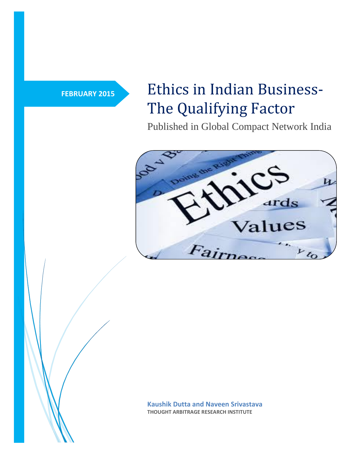# **FEBRUARY 2015** Ethics in Indian Business-The Qualifying Factor

Published in Global Compact Network India



**Kaushik Dutta and Naveen Srivastava THOUGHT ARBITRAGE RESEARCH INSTITUTE**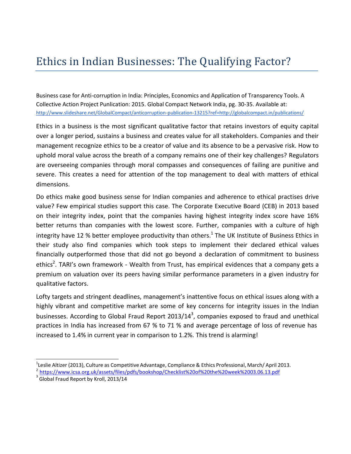## Ethics in Indian Businesses: The Qualifying Factor?

Business case for Anti-corruption in India: Principles, Economics and Application of Transparency Tools. A Collective Action Project Punlication: 2015. Global Compact Network India, pg. 30-35. Available at: <http://www.slideshare.net/GlobalCompact/anticorruption-publication-13215?ref=http://globalcompact.in/publications/>

Ethics in a business is the most significant qualitative factor that retains investors of equity capital over a longer period, sustains a business and creates value for all stakeholders. Companies and their management recognize ethics to be a creator of value and its absence to be a pervasive risk. How to uphold moral value across the breath of a company remains one of their key challenges? Regulators are overseeing companies through moral compasses and consequences of failing are punitive and severe. This creates a need for attention of the top management to deal with matters of ethical dimensions.

Do ethics make good business sense for Indian companies and adherence to ethical practises drive value? Few empirical studies support this case. The Corporate Executive Board (CEB) in 2013 based on their integrity index, point that the companies having highest integrity index score have 16% better returns than companies with the lowest score. Further, companies with a culture of high integrity have 12 % better employee productivity than others.<sup>1</sup> The UK Institute of Business Ethics in their study also find companies which took steps to implement their declared ethical values financially outperformed those that did not go beyond a declaration of commitment to business ethics<sup>2</sup>. TARI's own framework - Wealth from Trust, has empirical evidences that a company gets a premium on valuation over its peers having similar performance parameters in a given industry for qualitative factors.

Lofty targets and stringent deadlines, management's inattentive focus on ethical issues along with a highly vibrant and competitive market are some of key concerns for integrity issues in the Indian businesses. According to Global Fraud Report 2013/14<sup>3</sup>, companies exposed to fraud and unethical practices in India has increased from 67 % to 71 % and average percentage of loss of revenue has increased to 1.4% in current year in comparison to 1.2%. This trend is alarming!

 $3$  Global Fraud Report by Kroll, 2013/14

 $^1$ Leslie Altizer (2013), Culture as Competitive Advantage, Compliance & Ethics Professional, March/ April 2013.

<sup>&</sup>lt;sup>2</sup> <https://www.icsa.org.uk/assets/files/pdfs/bookshop/Checklist%20of%20the%20week%2003.06.13.pdf>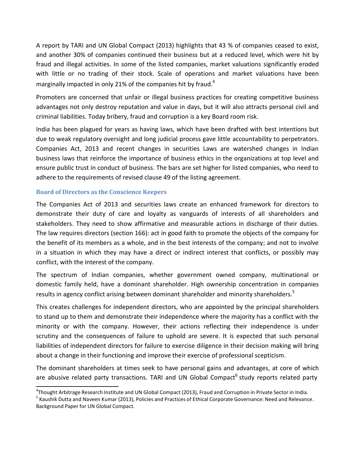A report by TARI and UN Global Compact (2013) highlights that 43 % of companies ceased to exist, and another 30% of companies continued their business but at a reduced level, which were hit by fraud and illegal activities. In some of the listed companies, market valuations significantly eroded with little or no trading of their stock. Scale of operations and market valuations have been marginally impacted in only 21% of the companies hit by fraud.<sup>4</sup>

Promoters are concerned that unfair or illegal business practices for creating competitive business advantages not only destroy reputation and value in days, but it will also attracts personal civil and criminal liabilities. Today bribery, fraud and corruption is a key Board room risk.

India has been plagued for years as having laws, which have been drafted with best intentions but due to weak regulatory oversight and long judicial process gave little accountability to perpetrators. Companies Act, 2013 and recent changes in securities Laws are watershed changes in Indian business laws that reinforce the importance of business ethics in the organizations at top level and ensure public trust in conduct of business. The bars are set higher for listed companies, who need to adhere to the requirements of revised clause 49 of the listing agreement.

#### **Board of Directors as the Conscience Keepers**

The Companies Act of 2013 and securities laws create an enhanced framework for directors to demonstrate their duty of care and loyalty as vanguards of interests of all shareholders and stakeholders. They need to show affirmative and measurable actions in discharge of their duties. The law requires directors (section 166): act in good faith to promote the objects of the company for the benefit of its members as a whole, and in the best interests of the company; and not to involve in a situation in which they may have a direct or indirect interest that conflicts, or possibly may conflict, with the interest of the company.

The spectrum of Indian companies, whether government owned company, multinational or domestic family held, have a dominant shareholder. High ownership concentration in companies results in agency conflict arising between dominant shareholder and minority shareholders.<sup>5</sup>

This creates challenges for independent directors, who are appointed by the principal shareholders to stand up to them and demonstrate their independence where the majority has a conflict with the minority or with the company. However, their actions reflecting their independence is under scrutiny and the consequences of failure to uphold are severe. It is expected that such personal liabilities of independent directors for failure to exercise diligence in their decision making will bring about a change in their functioning and improve their exercise of professional scepticism.

The dominant shareholders at times seek to have personal gains and advantages, at core of which are abusive related party transactions. TARI and UN Global Compact<sup>6</sup> study reports related party

<sup>4</sup> Thought Arbitrage Research Institute and UN Global Compact (2013), Fraud and Corruption in Private Sector in India.

<sup>&</sup>lt;sup>5</sup> Kaushik Dutta and Naveen Kumar (2013), Policies and Practices of Ethical Corporate Governance: Need and Relevance. Background Paper for UN Global Compact.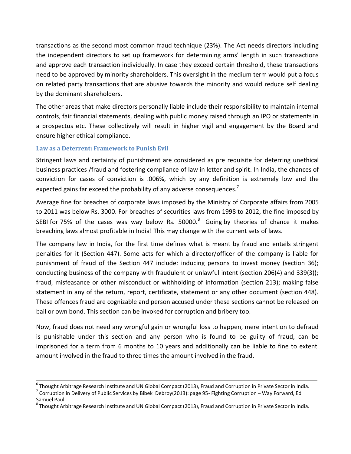transactions as the second most common fraud technique (23%). The Act needs directors including the independent directors to set up framework for determining arms' length in such transactions and approve each transaction individually. In case they exceed certain threshold, these transactions need to be approved by minority shareholders. This oversight in the medium term would put a focus on related party transactions that are abusive towards the minority and would reduce self dealing by the dominant shareholders.

The other areas that make directors personally liable include their responsibility to maintain internal controls, fair financial statements, dealing with public money raised through an IPO or statements in a prospectus etc. These collectively will result in higher vigil and engagement by the Board and ensure higher ethical compliance.

#### **Law as a Deterrent: Framework to Punish Evil**

Stringent laws and certainty of punishment are considered as pre requisite for deterring unethical business practices /fraud and fostering compliance of law in letter and spirit. In India, the chances of conviction for cases of conviction is .006%, which by any definition is extremely low and the expected gains far exceed the probability of any adverse consequences.<sup>7</sup>

Average fine for breaches of corporate laws imposed by the Ministry of Corporate affairs from 2005 to 2011 was below Rs. 3000. For breaches of securities laws from 1998 to 2012, the fine imposed by SEBI for 75% of the cases was way below Rs. 50000. $^8$  Going by theories of chance it makes breaching laws almost profitable in India! This may change with the current sets of laws.

The company law in India, for the first time defines what is meant by fraud and entails stringent penalties for it (Section 447). Some acts for which a director/officer of the company is liable for punishment of fraud of the Section 447 include: inducing persons to invest money (section 36); conducting business of the company with fraudulent or unlawful intent (section 206(4) and 339(3)); fraud, misfeasance or other misconduct or withholding of information (section 213); making false statement in any of the return, report, certificate, statement or any other document (section 448). These offences fraud are cognizable and person accused under these sections cannot be released on bail or own bond. This section can be invoked for corruption and bribery too.

Now, fraud does not need any wrongful gain or wrongful loss to happen, mere intention to defraud is punishable under this section and any person who is found to be guilty of fraud, can be imprisoned for a term from 6 months to 10 years and additionally can be liable to fine to extent amount involved in the fraud to three times the amount involved in the fraud.

 $^6$  Thought Arbitrage Research Institute and UN Global Compact (2013), Fraud and Corruption in Private Sector in India.

 $^7$  Corruption in Delivery of Public Services by Bibek Debroy(2013): page 95- Fighting Corruption – Way Forward, Ed Samuel Paul

<sup>8</sup> Thought Arbitrage Research Institute and UN Global Compact (2013), Fraud and Corruption in Private Sector in India.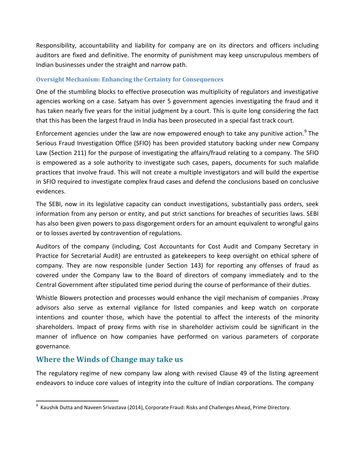Responsibility, accountability and liability for company are on its directors and officers including auditors are fixed and definitive. The enormity of punishment may keep unscrupulous members of Indian businesses under the straight and narrow path.

#### **Oversight Mechanism: Enhancing the Certainty for Consequences**

One of the stumbling blocks to effective prosecution was multiplicity of regulators and investigative agencies working on a case. Satyam has over 5 government agencies investigating the fraud and it has taken nearly five years for the initial judgment by a court. This is quite long considering the fact that this has been the largest fraud in India has been prosecuted in a special fast track court.

Enforcement agencies under the law are now empowered enough to take any punitive action.<sup>9</sup> The Serious Fraud Investigation Office (SFIO) has been provided statutory backing under new Company Law (Section 211) for the purpose of investigating the affairs/fraud relating to a company. The SFIO is empowered as a sole authority to investigate such cases, papers, documents for such malafide practices that involve fraud. This will not create a multiple investigators and will build the expertise in SFIO required to investigate complex fraud cases and defend the conclusions based on conclusive evidences.

The SEBI, now in its legislative capacity can conduct investigations, substantially pass orders, seek information from any person or entity, and put strict sanctions for breaches of securities laws. SEBI has also been given powers to pass disgorgement orders for an amount equivalent to wrongful gains or to losses averted by contravention of regulations.

Auditors of the company (including, Cost Accountants for Cost Audit and Company Secretary in Practice for Secretarial Audit) are entrusted as gatekeepers to keep oversight on ethical sphere of company. They are now responsible (under Section 143) for reporting any offenses of fraud as covered under the Company law to the Board of directors of company immediately and to the Central Government after stipulated time period during the course of performance of their duties.

Whistle Blowers protection and processes would enhance the vigil mechanism of companies .Proxy advisors also serve as external vigilance for listed companies and keep watch on corporate intentions and counter those, which have the potential to affect the interests of the minority shareholders. Impact of proxy firms with rise in shareholder activism could be significant in the manner of influence on how companies have performed on various parameters of corporate governance.

### **Where the Winds of Change may take us**

The regulatory regime of new company law along with revised Clause 49 of the listing agreement endeavors to induce core values of integrity into the culture of Indian corporations. The company

<sup>&</sup>lt;sup>9</sup> Kaushik Dutta and Naveen Srivastava (2014), Corporate Fraud: Risks and Challenges Ahead, Prime Directory.